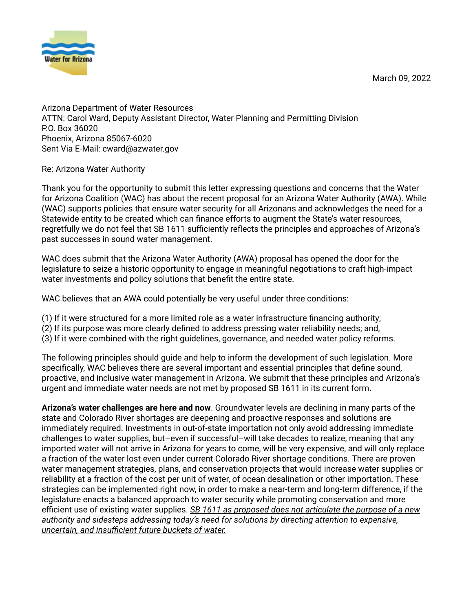

March 09, 2022

Arizona Department of Water Resources ATTN: Carol Ward, Deputy Assistant Director, Water Planning and Permitting Division P.O. Box 36020 Phoenix, Arizona 85067-6020 Sent Via E-Mail: cward@azwater.gov

Re: Arizona Water Authority

Thank you for the opportunity to submit this letter expressing questions and concerns that the Water for Arizona Coalition (WAC) has about the recent proposal for an Arizona Water Authority (AWA). While (WAC) supports policies that ensure water security for all Arizonans and acknowledges the need for a Statewide entity to be created which can finance efforts to augment the State's water resources, regretfully we do not feel that SB 1611 sufficiently reflects the principles and approaches of Arizona's past successes in sound water management.

WAC does submit that the Arizona Water Authority (AWA) proposal has opened the door for the legislature to seize a historic opportunity to engage in meaningful negotiations to craft high-impact water investments and policy solutions that benefit the entire state.

WAC believes that an AWA could potentially be very useful under three conditions:

- (1) If it were structured for a more limited role as a water infrastructure financing authority;
- (2) If its purpose was more clearly defined to address pressing water reliability needs; and,
- (3) If it were combined with the right guidelines, governance, and needed water policy reforms.

The following principles should guide and help to inform the development of such legislation. More specifically, WAC believes there are several important and essential principles that define sound, proactive, and inclusive water management in Arizona. We submit that these principles and Arizona's urgent and immediate water needs are not met by proposed SB 1611 in its current form.

**Arizona's water challenges are here and now.** Groundwater levels are declining in many parts of the state and Colorado River shortages are deepening and proactive responses and solutions are immediately required. Investments in out-of-state importation not only avoid addressing immediate challenges to water supplies, but-even if successful-will take decades to realize, meaning that any imported water will not arrive in Arizona for years to come, will be very expensive, and will only replace a fraction of the water lost even under current Colorado River shortage conditions. There are proven water management strategies, plans, and conservation projects that would increase water supplies or reliability at a fraction of the cost per unit of water, of ocean desalination or other importation. These strategies can be implemented right now, in order to make a near-term and long-term difference, if the legislature enacts a balanced approach to water security while promoting conservation and more efficient use of existing water supplies. *SB* 1611 as proposed does not articulate the purpose of a new *authority and sidesteps addressing today's need for solutions by directing attention to expensive, <u>k</u> uncertain, and insufficient future buckets of water.*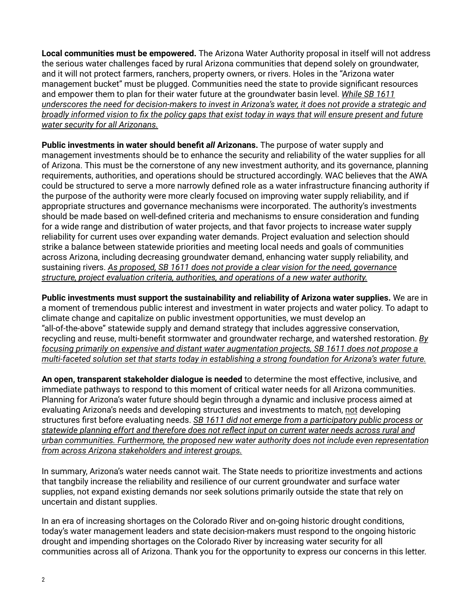**Local communities must be empowered.** The Arizona Water Authority proposal in itself will not address the serious water challenges faced by rural Arizona communities that depend solely on groundwater, and it will not protect farmers, ranchers, property owners, or rivers. Holes in the "Arizona water management bucket" must be plugged. Communities need the state to provide significant resources and empower them to plan for their water future at the groundwater basin level. While SB 1611 *A L anderscores the need for decision-makers to invest in Arizona's water, it does not provide a strategic and broadly informed vision to fix the policy gaps that exist today in ways that will ensure present and future Water security for all Arizonans.* 

**Public investments in water should benefit all Arizonans. The purpose of water supply and** management investments should be to enhance the security and reliability of the water supplies for all of Arizona. This must be the cornerstone of any new investment authority, and its governance, planning requirements, authorities, and operations should be structured accordingly. WAC believes that the AWA could be structured to serve a more narrowly defined role as a water infrastructure financing authority if the purpose of the authority were more clearly focused on improving water supply reliability, and if appropriate structures and governance mechanisms were incorporated. The authority's investments should be made based on well-defined criteria and mechanisms to ensure consideration and funding for a wide range and distribution of water projects, and that favor projects to increase water supply reliability for current uses over expanding water demands. Project evaluation and selection should strike a balance between statewide priorities and meeting local needs and goals of communities across Arizona, including decreasing groundwater demand, enhancing water supply reliability, and  $S$  *As proposed, SB 1611 does not provide a clear vision for the need, governance KITICTUP, project evaluation criteria, authorities, and operations of a new water authority.* 

**Public investments must support the sustainability and reliability of Arizona water supplies. We are in** a moment of tremendous public interest and investment in water projects and water policy. To adapt to climate change and capitalize on public investment opportunities, we must develop an ƈall-of-the-aboveƉ statewide supply and demand strategy that includes aggressive conservation, recycling and reuse, multi-benefit stormwater and groundwater recharge, and watershed restoration. *By focusing primarily on expensive and distant water augmentation projects, SB 1611 does not propose a Multi-faceted solution set that starts today in establishing a strong foundation for Arizona's water future.* 

**An open, transparent stakeholder dialogue is needed** to determine the most effective, inclusive, and immediate pathways to respond to this moment of critical water needs for all Arizona communities. Planning for Arizonaƅs water future should begin through a dynamic and inclusive process aimed at evaluating Arizona's needs and developing structures and investments to match, not developing structures first before evaluating needs. *SB* 1611 did not emerge from a participatory public process or *Katewide planning effort and therefore does not reflect input on current water needs across rural and A a COMMunities. Furthermore, the proposed new water authority does not include even representation from across Arizona stakeholders and interest groups.* 

In summary, Arizona's water needs cannot wait. The State needs to prioritize investments and actions that tangbily increase the reliability and resilience of our current groundwater and surface water supplies, not expand existing demands nor seek solutions primarily outside the state that rely on uncertain and distant supplies.

In an era of increasing shortages on the Colorado River and on-going historic drought conditions, todayƅs water management leaders and state decision-makers must respond to the ongoing historic drought and impending shortages on the Colorado River by increasing water security for all communities across all of Arizona. Thank you for the opportunity to express our concerns in this letter.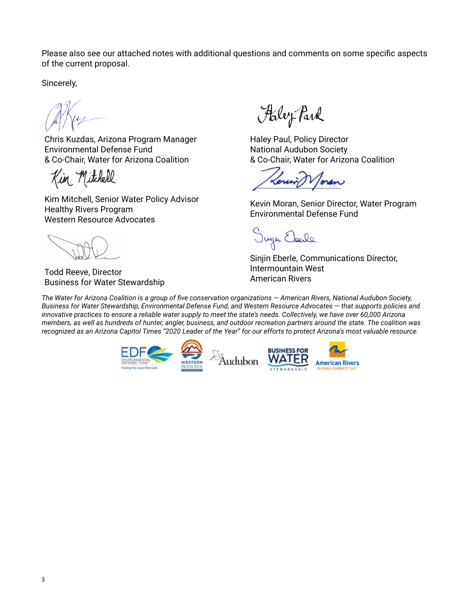Please also see our attached notes with additional questions and comments on some specific aspects of the current proposal.

Sincerely,

Chris Kuzdas, Arizona Program Manager Environmental Defense Fund & Co-Chair, Water for Arizona Coalition

Kim Mitchell

Kim Mitchell, Senior Water Policy Advisor Healthy Rivers Program Western Resource Advocates

Todd Reeve, Director Business for Water Stewardship

Haley Park

Haley Paul, Policy Director National Audubon Society & Co-Chair, Water for Arizona Coalition

Tonen

Kevin Moran, Senior Director, Water Program Environmental Defense Fund

Juyu Ebele

Sinjin Eberle, Communications Director, Intermountain West American Rivers

*The Water for Arizona Coalition is a group of five conservation organizations – American Rivers, National Audubon Society,* Business for Water Stewardship, Environmental Defense Fund, and Western Resource Advocates - that supports policies and innovative practices to ensure a reliable water supply to meet the state's needs. Collectively, we have over 60,000 Arizona members, as well as hundreds of hunter, angler, business, and outdoor recreation partners around the state. The coalition was recognized as an Arizona Capitol Times "2020 Leader of the Year" for our efforts to protect Arizona's most valuable resource.

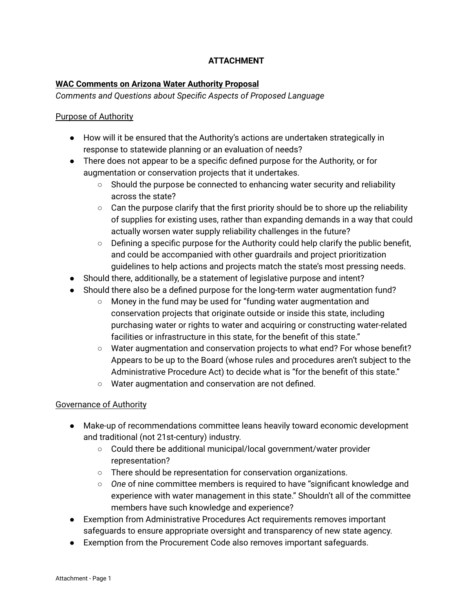# **ATTACHMENT**

## **WAC Comments on Arizona Water Authority Proposal**

#### *Comments and Questions about Specific Aspects of Proposed Language*

#### Purpose of Authority

- How will it be ensured that the Authority's actions are undertaken strategically in response to statewide planning or an evaluation of needs?
- There does not appear to be a specific defined purpose for the Authority, or for augmentation or conservation projects that it undertakes.
	- $\circ$  Should the purpose be connected to enhancing water security and reliability across the state?
	- Can the purpose clarify that the first priority should be to shore up the reliability of supplies for existing uses, rather than expanding demands in a way that could actually worsen water supply reliability challenges in the future?
	- $\circ$  Defining a specific purpose for the Authority could help clarify the public benefit, and could be accompanied with other guardrails and project prioritization guidelines to help actions and projects match the state's most pressing needs.
- Should there, additionally, be a statement of legislative purpose and intent?
- Should there also be a defined purpose for the long-term water augmentation fund?
	- $\circ$  Money in the fund may be used for "funding water augmentation and conservation projects that originate outside or inside this state, including purchasing water or rights to water and acquiring or constructing water-related facilities or infrastructure in this state, for the benefit of this state."
	- Water augmentation and conservation projects to what end? For whose benefit? Appears to be up to the Board (whose rules and procedures aren't subject to the Administrative Procedure Act) to decide what is "for the benefit of this state."
	- Water augmentation and conservation are not defined.

#### Governance of Authority

- Make-up of recommendations committee leans heavily toward economic development and traditional (not 21st-century) industry.
	- Could there be additional municipal/local government/water provider representation?
	- There should be representation for conservation organizations.
	- *One* of nine committee members is required to have "significant knowledge and experience with water management in this state." Shouldn't all of the committee members have such knowledge and experience?
- Exemption from Administrative Procedures Act requirements removes important safeguards to ensure appropriate oversight and transparency of new state agency.
- Exemption from the Procurement Code also removes important safeguards.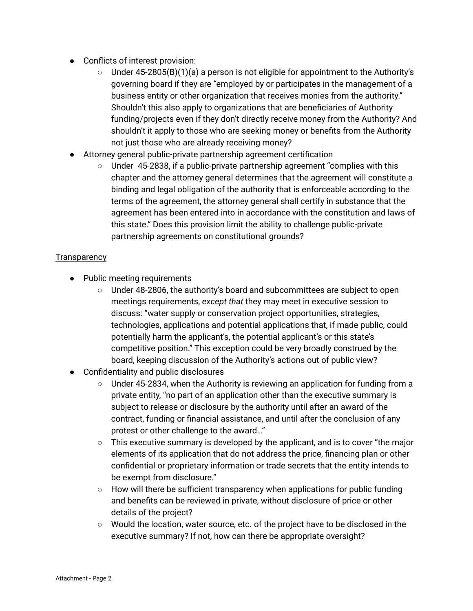- Conflicts of interest provision:
	- $\circ$  Under 45-2805(B)(1)(a) a person is not eligible for appointment to the Authority's governing board if they are "employed by or participates in the management of a business entity or other organization that receives monies from the authority." Shouldn't this also apply to organizations that are beneficiaries of Authority funding/projects even if they don't directly receive money from the Authority? And shouldn't it apply to those who are seeking money or benefits from the Authority not just those who are already receiving money?
- Attorney general public-private partnership agreement certification
	- $\circ$  Under 45-2838, if a public-private partnership agreement "complies with this chapter and the attorney general determines that the agreement will constitute a binding and legal obligation of the authority that is enforceable according to the terms of the agreement, the attorney general shall certify in substance that the agreement has been entered into in accordance with the constitution and laws of this state." Does this provision limit the ability to challenge public-private partnership agreements on constitutional grounds?

# **Transparency**

- Public meeting requirements
	- Under 48-2806, the authority's board and subcommittees are subject to open meetings requirements, except that they may meet in executive session to discuss: "water supply or conservation project opportunities, strategies, technologies, applications and potential applications that, if made public, could potentially harm the applicant's, the potential applicant's or this state's competitive position." This exception could be very broadly construed by the board, keeping discussion of the Authority's actions out of public view?
- Confidentiality and public disclosures
	- Under 45-2834, when the Authority is reviewing an application for funding from a private entity, "no part of an application other than the executive summary is subject to release or disclosure by the authority until after an award of the contract, funding or financial assistance, and until after the conclusion of any protest or other challenge to the award..."
	- $\circ$  This executive summary is developed by the applicant, and is to cover "the major elements of its application that do not address the price, financing plan or other confidential or proprietary information or trade secrets that the entity intends to be exempt from disclosure."
	- $\circ$  How will there be sufficient transparency when applications for public funding and benefits can be reviewed in private, without disclosure of price or other details of the project?
	- Would the location, water source, etc. of the project have to be disclosed in the executive summary? If not, how can there be appropriate oversight?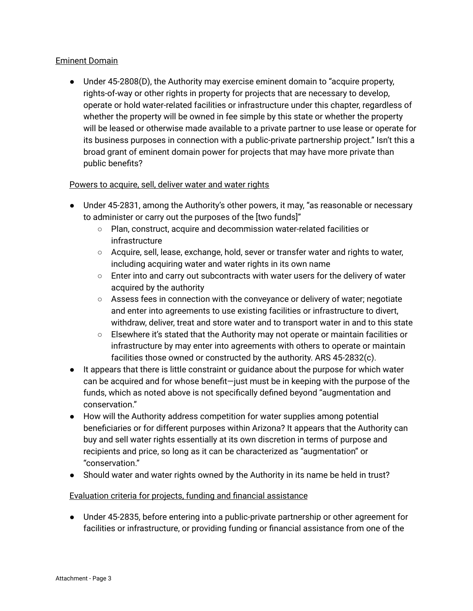## Eminent Domain

• Under 45-2808(D), the Authority may exercise eminent domain to "acquire property, rights-of-way or other rights in property for projects that are necessary to develop, operate or hold water-related facilities or infrastructure under this chapter, regardless of whether the property will be owned in fee simple by this state or whether the property will be leased or otherwise made available to a private partner to use lease or operate for its business purposes in connection with a public-private partnership project." Isn't this a broad grant of eminent domain power for projects that may have more private than public benefits?

#### Powers to acquire, sell, deliver water and water rights

- Under 45-2831, among the Authority's other powers, it may, "as reasonable or necessary to administer or carry out the purposes of the [two funds]"
	- Plan, construct, acquire and decommission water-related facilities or infrastructure
	- Acquire, sell, lease, exchange, hold, sever or transfer water and rights to water, including acquiring water and water rights in its own name
	- Enter into and carry out subcontracts with water users for the delivery of water acquired by the authority
	- Assess fees in connection with the conveyance or delivery of water; negotiate and enter into agreements to use existing facilities or infrastructure to divert, withdraw, deliver, treat and store water and to transport water in and to this state
	- Elsewhere itƅs stated that the Authority may not operate or maintain facilities or infrastructure by may enter into agreements with others to operate or maintain facilities those owned or constructed by the authority. ARS 45-2832(c).
- It appears that there is little constraint or guidance about the purpose for which water can be acquired and for whose benefit-just must be in keeping with the purpose of the funds, which as noted above is not specifically defined beyond "augmentation and conservation."
- How will the Authority address competition for water supplies among potential beneficiaries or for different purposes within Arizona? It appears that the Authority can buy and sell water rights essentially at its own discretion in terms of purpose and recipients and price, so long as it can be characterized as "augmentation" or ƈconservation.Ɖ
- Should water and water rights owned by the Authority in its name be held in trust?

# Evaluation criteria for projects, funding and financial assistance

● Under 45-2835, before entering into a public-private partnership or other agreement for facilities or infrastructure, or providing funding or financial assistance from one of the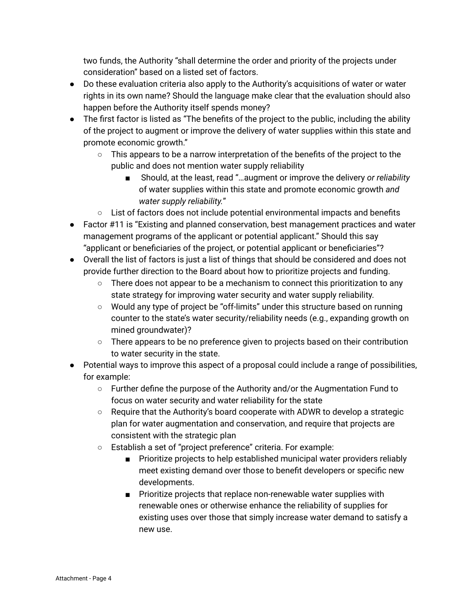two funds, the Authority "shall determine the order and priority of the projects under consideration" based on a listed set of factors.

- Do these evaluation criteria also apply to the Authority's acquisitions of water or water rights in its own name? Should the language make clear that the evaluation should also happen before the Authority itself spends money?
- The first factor is listed as "The benefits of the project to the public, including the ability of the project to augment or improve the delivery of water supplies within this state and promote economic growth."
	- $\circ$  This appears to be a narrow interpretation of the benefits of the project to the public and does not mention water supply reliability
		- Should, at the least, read "...augment or improve the delivery *or reliability* of water supplies within this state and promote economic growth and *water supply reliability."*
	- $\circ$  List of factors does not include potential environmental impacts and benefits
- Factor #11 is "Existing and planned conservation, best management practices and water management programs of the applicant or potential applicant." Should this say "applicant or beneficiaries of the project, or potential applicant or beneficiaries"?
- Overall the list of factors is just a list of things that should be considered and does not provide further direction to the Board about how to prioritize projects and funding.
	- $\circ$  There does not appear to be a mechanism to connect this prioritization to any state strategy for improving water security and water supply reliability.
	- $\circ$  Would any type of project be "off-limits" under this structure based on running counter to the state's water security/reliability needs (e.g., expanding growth on mined groundwater)?
	- $\circ$  There appears to be no preference given to projects based on their contribution to water security in the state.
- Potential ways to improve this aspect of a proposal could include a range of possibilities, for example:
	- $\circ$  Further define the purpose of the Authority and/or the Augmentation Fund to focus on water security and water reliability for the state
	- $\circ$  Require that the Authority's board cooperate with ADWR to develop a strategic plan for water augmentation and conservation, and require that projects are consistent with the strategic plan
	- $\circ$  Establish a set of "project preference" criteria. For example:
		- Prioritize projects to help established municipal water providers reliably meet existing demand over those to benefit developers or specific new developments.
		- Prioritize projects that replace non-renewable water supplies with renewable ones or otherwise enhance the reliability of supplies for existing uses over those that simply increase water demand to satisfy a new use.